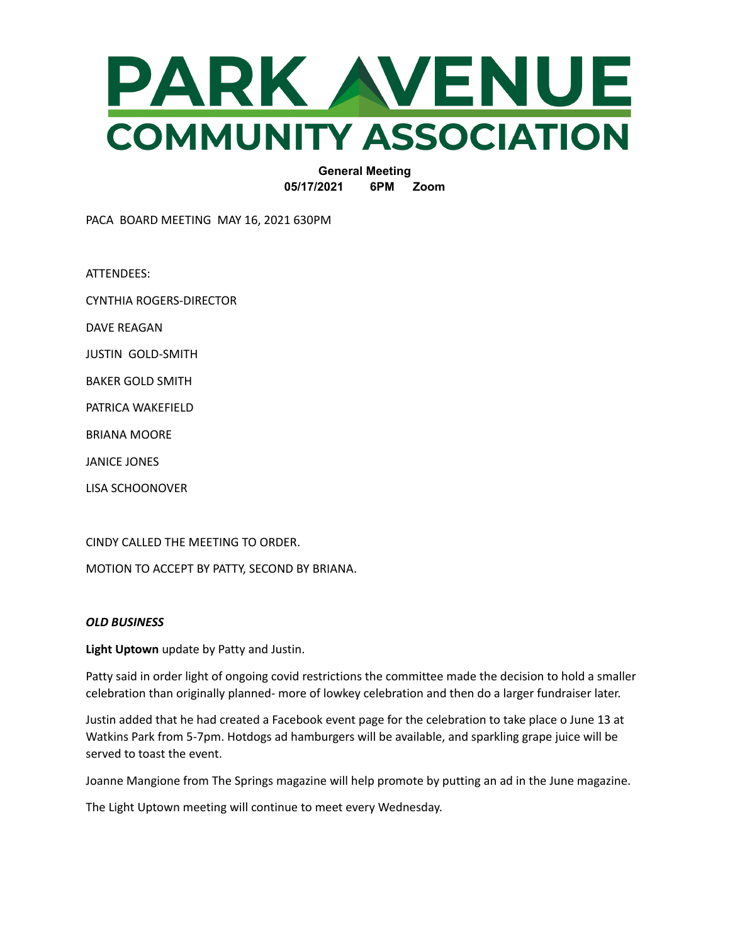

**General Meeting 05/17/2021 6PM Zoom**

PACA BOARD MEETING MAY 16, 2021 630PM

ATTENDEES:

CYNTHIA ROGERS-DIRECTOR

DAVE REAGAN

JUSTIN GOLD-SMITH

BAKER GOLD SMITH

PATRICA WAKEFIELD

BRIANA MOORE

JANICE JONES

LISA SCHOONOVER

CINDY CALLED THE MEETING TO ORDER.

MOTION TO ACCEPT BY PATTY, SECOND BY BRIANA.

## *OLD BUSINESS*

**Light Uptown** update by Patty and Justin.

Patty said in order light of ongoing covid restrictions the committee made the decision to hold a smaller celebration than originally planned- more of lowkey celebration and then do a larger fundraiser later.

Justin added that he had created a Facebook event page for the celebration to take place o June 13 at Watkins Park from 5-7pm. Hotdogs ad hamburgers will be available, and sparkling grape juice will be served to toast the event.

Joanne Mangione from The Springs magazine will help promote by putting an ad in the June magazine.

The Light Uptown meeting will continue to meet every Wednesday.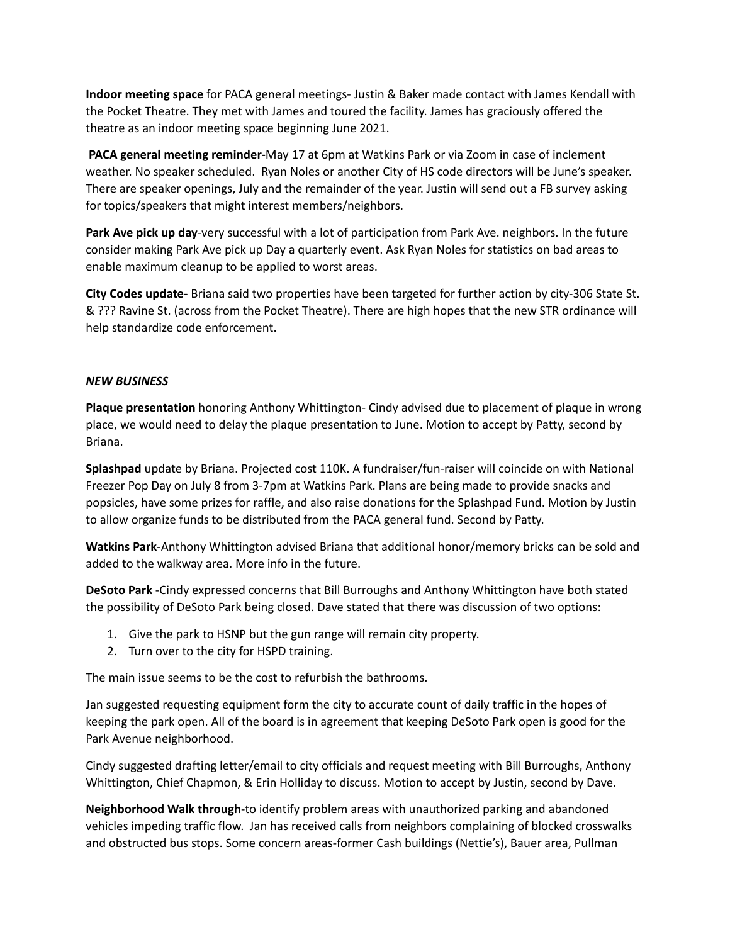**Indoor meeting space** for PACA general meetings- Justin & Baker made contact with James Kendall with the Pocket Theatre. They met with James and toured the facility. James has graciously offered the theatre as an indoor meeting space beginning June 2021.

**PACA general meeting reminder-**May 17 at 6pm at Watkins Park or via Zoom in case of inclement weather. No speaker scheduled. Ryan Noles or another City of HS code directors will be June's speaker. There are speaker openings, July and the remainder of the year. Justin will send out a FB survey asking for topics/speakers that might interest members/neighbors.

**Park Ave pick up day**-very successful with a lot of participation from Park Ave. neighbors. In the future consider making Park Ave pick up Day a quarterly event. Ask Ryan Noles for statistics on bad areas to enable maximum cleanup to be applied to worst areas.

**City Codes update-** Briana said two properties have been targeted for further action by city-306 State St. & ??? Ravine St. (across from the Pocket Theatre). There are high hopes that the new STR ordinance will help standardize code enforcement.

## *NEW BUSINESS*

**Plaque presentation** honoring Anthony Whittington- Cindy advised due to placement of plaque in wrong place, we would need to delay the plaque presentation to June. Motion to accept by Patty, second by Briana.

**Splashpad** update by Briana. Projected cost 110K. A fundraiser/fun-raiser will coincide on with National Freezer Pop Day on July 8 from 3-7pm at Watkins Park. Plans are being made to provide snacks and popsicles, have some prizes for raffle, and also raise donations for the Splashpad Fund. Motion by Justin to allow organize funds to be distributed from the PACA general fund. Second by Patty.

**Watkins Park**-Anthony Whittington advised Briana that additional honor/memory bricks can be sold and added to the walkway area. More info in the future.

**DeSoto Park** -Cindy expressed concerns that Bill Burroughs and Anthony Whittington have both stated the possibility of DeSoto Park being closed. Dave stated that there was discussion of two options:

- 1. Give the park to HSNP but the gun range will remain city property.
- 2. Turn over to the city for HSPD training.

The main issue seems to be the cost to refurbish the bathrooms.

Jan suggested requesting equipment form the city to accurate count of daily traffic in the hopes of keeping the park open. All of the board is in agreement that keeping DeSoto Park open is good for the Park Avenue neighborhood.

Cindy suggested drafting letter/email to city officials and request meeting with Bill Burroughs, Anthony Whittington, Chief Chapmon, & Erin Holliday to discuss. Motion to accept by Justin, second by Dave.

**Neighborhood Walk through**-to identify problem areas with unauthorized parking and abandoned vehicles impeding traffic flow. Jan has received calls from neighbors complaining of blocked crosswalks and obstructed bus stops. Some concern areas-former Cash buildings (Nettie's), Bauer area, Pullman